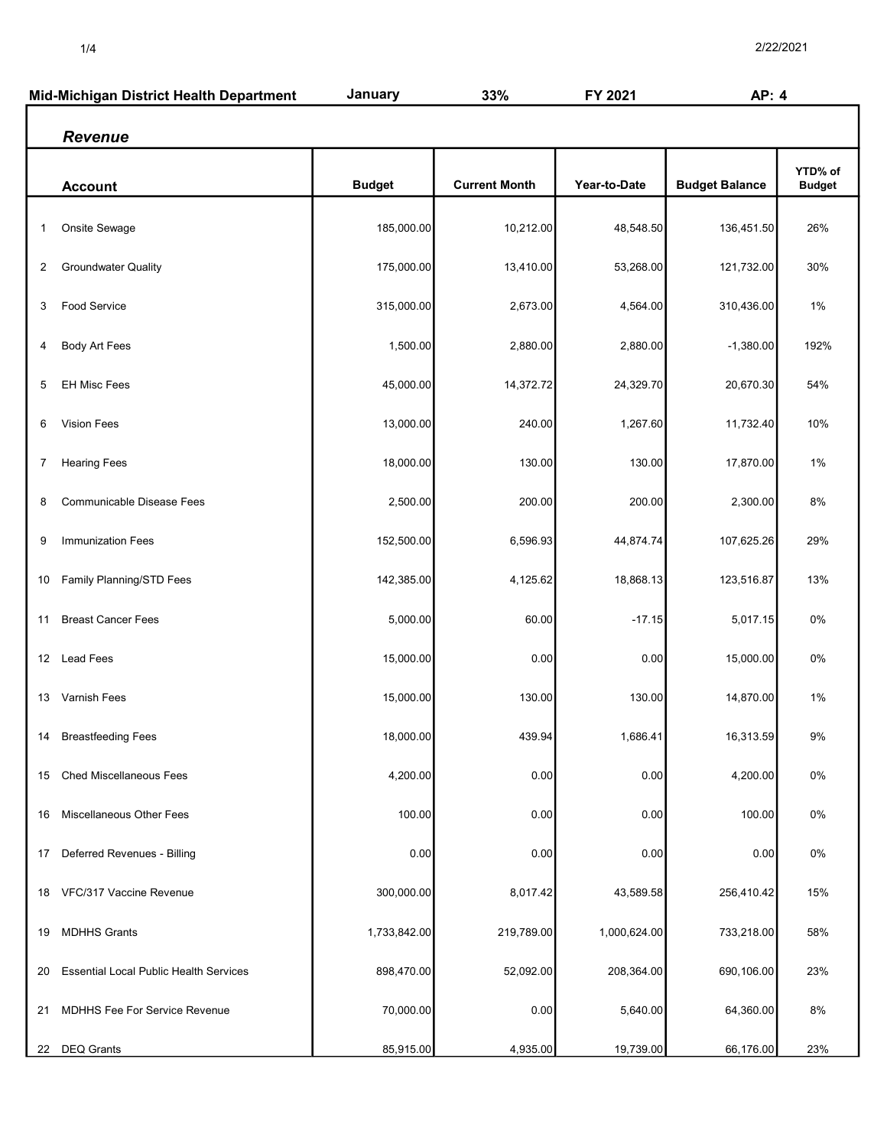| Mid-Michigan District Health Department |                                               | January       | 33%                  | FY 2021      | AP: 4                 |                          |
|-----------------------------------------|-----------------------------------------------|---------------|----------------------|--------------|-----------------------|--------------------------|
|                                         | <b>Revenue</b>                                |               |                      |              |                       |                          |
|                                         | <b>Account</b>                                | <b>Budget</b> | <b>Current Month</b> | Year-to-Date | <b>Budget Balance</b> | YTD% of<br><b>Budget</b> |
| 1                                       | Onsite Sewage                                 | 185,000.00    | 10,212.00            | 48,548.50    | 136,451.50            | 26%                      |
| 2                                       | <b>Groundwater Quality</b>                    | 175,000.00    | 13,410.00            | 53,268.00    | 121,732.00            | 30%                      |
| 3                                       | Food Service                                  | 315,000.00    | 2,673.00             | 4,564.00     | 310,436.00            | $1\%$                    |
| 4                                       | Body Art Fees                                 | 1,500.00      | 2,880.00             | 2,880.00     | $-1,380.00$           | 192%                     |
| 5                                       | EH Misc Fees                                  | 45,000.00     | 14,372.72            | 24,329.70    | 20,670.30             | 54%                      |
| 6                                       | <b>Vision Fees</b>                            | 13,000.00     | 240.00               | 1,267.60     | 11,732.40             | 10%                      |
| 7                                       | <b>Hearing Fees</b>                           | 18,000.00     | 130.00               | 130.00       | 17,870.00             | 1%                       |
| 8                                       | Communicable Disease Fees                     | 2,500.00      | 200.00               | 200.00       | 2,300.00              | 8%                       |
| 9                                       | Immunization Fees                             | 152,500.00    | 6,596.93             | 44,874.74    | 107,625.26            | 29%                      |
| 10                                      | Family Planning/STD Fees                      | 142,385.00    | 4,125.62             | 18,868.13    | 123,516.87            | 13%                      |
| 11                                      | <b>Breast Cancer Fees</b>                     | 5,000.00      | 60.00                | $-17.15$     | 5,017.15              | 0%                       |
|                                         | 12 Lead Fees                                  | 15,000.00     | 0.00                 | 0.00         | 15,000.00             | 0%                       |
| 13                                      | Varnish Fees                                  | 15,000.00     | 130.00               | 130.00       | 14,870.00             | $1\%$                    |
| 14                                      | <b>Breastfeeding Fees</b>                     | 18,000.00     | 439.94               | 1,686.41     | 16,313.59             | $9\%$                    |
| 15                                      | <b>Ched Miscellaneous Fees</b>                | 4,200.00      | 0.00                 | 0.00         | 4,200.00              | 0%                       |
| 16                                      | <b>Miscellaneous Other Fees</b>               | 100.00        | 0.00                 | 0.00         | 100.00                | 0%                       |
| 17                                      | Deferred Revenues - Billing                   | 0.00          | 0.00                 | 0.00         | 0.00                  | 0%                       |
|                                         | 18 VFC/317 Vaccine Revenue                    | 300,000.00    | 8,017.42             | 43,589.58    | 256,410.42            | 15%                      |
| 19                                      | <b>MDHHS Grants</b>                           | 1,733,842.00  | 219,789.00           | 1,000,624.00 | 733,218.00            | 58%                      |
| 20                                      | <b>Essential Local Public Health Services</b> | 898,470.00    | 52,092.00            | 208,364.00   | 690,106.00            | 23%                      |
| 21                                      | <b>MDHHS Fee For Service Revenue</b>          | 70,000.00     | 0.00                 | 5,640.00     | 64,360.00             | 8%                       |
|                                         | 22 DEQ Grants                                 | 85,915.00     | 4,935.00             | 19,739.00    | 66,176.00             | 23%                      |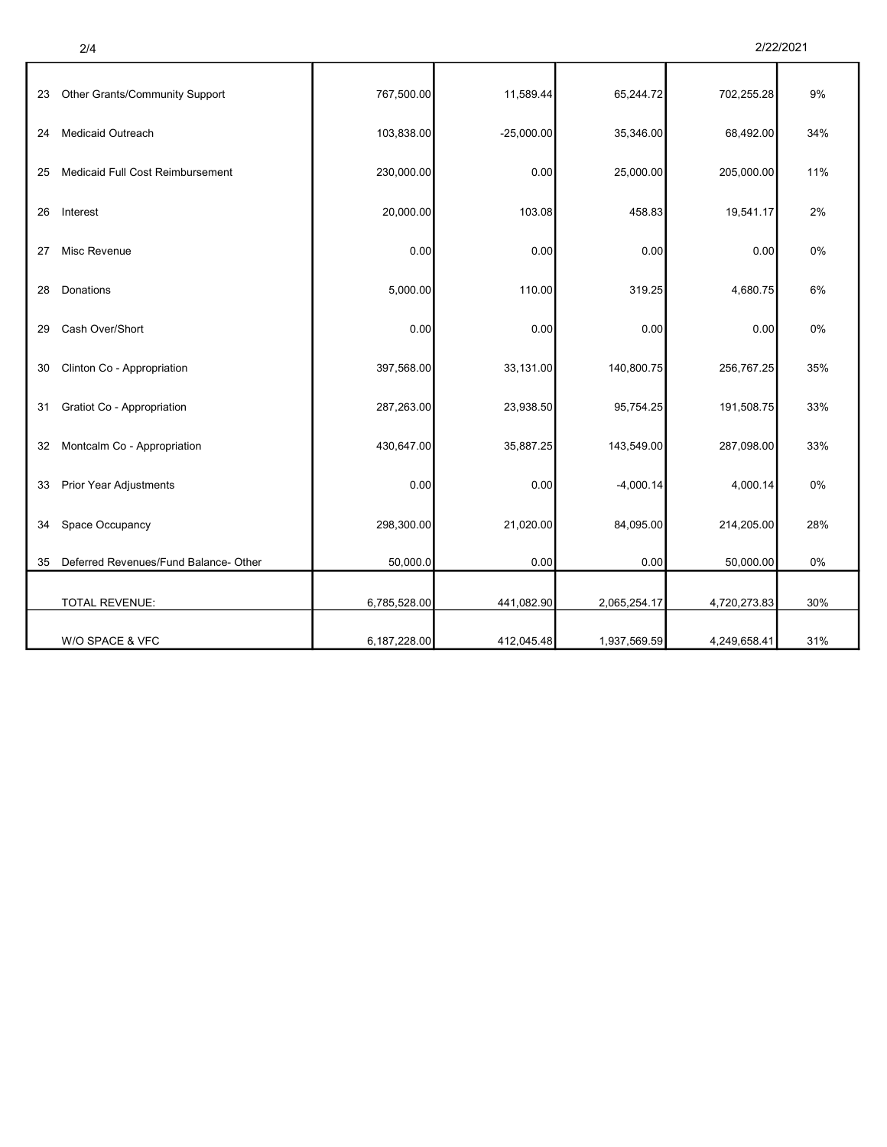| 2/22/2021 |  |
|-----------|--|
|-----------|--|

|--|--|

 $\mathbf l$ 

|    | 2/4                                   |              |              |              |              | 2/22/2021 |
|----|---------------------------------------|--------------|--------------|--------------|--------------|-----------|
| 23 | Other Grants/Community Support        | 767,500.00   | 11,589.44    | 65,244.72    | 702,255.28   | 9%        |
| 24 | Medicaid Outreach                     | 103,838.00   | $-25,000.00$ | 35,346.00    | 68,492.00    | 34%       |
| 25 | Medicaid Full Cost Reimbursement      | 230,000.00   | 0.00         | 25,000.00    | 205,000.00   | 11%       |
| 26 | Interest                              | 20,000.00    | 103.08       | 458.83       | 19,541.17    | 2%        |
| 27 | Misc Revenue                          | 0.00         | 0.00         | 0.00         | 0.00         | 0%        |
| 28 | Donations                             | 5,000.00     | 110.00       | 319.25       | 4,680.75     | 6%        |
| 29 | Cash Over/Short                       | 0.00         | 0.00         | 0.00         | 0.00         | 0%        |
| 30 | Clinton Co - Appropriation            | 397,568.00   | 33,131.00    | 140,800.75   | 256,767.25   | 35%       |
| 31 | Gratiot Co - Appropriation            | 287,263.00   | 23,938.50    | 95,754.25    | 191,508.75   | 33%       |
| 32 | Montcalm Co - Appropriation           | 430,647.00   | 35,887.25    | 143,549.00   | 287,098.00   | 33%       |
| 33 | Prior Year Adjustments                | 0.00         | 0.00         | $-4,000.14$  | 4,000.14     | 0%        |
| 34 | Space Occupancy                       | 298,300.00   | 21,020.00    | 84,095.00    | 214,205.00   | 28%       |
| 35 | Deferred Revenues/Fund Balance- Other | 50,000.0     | 0.00         | 0.00         | 50,000.00    | 0%        |
|    | <b>TOTAL REVENUE:</b>                 | 6,785,528.00 | 441,082.90   | 2,065,254.17 | 4,720,273.83 | 30%       |
|    | W/O SPACE & VFC                       | 6,187,228.00 | 412,045.48   | 1,937,569.59 | 4,249,658.41 | 31%       |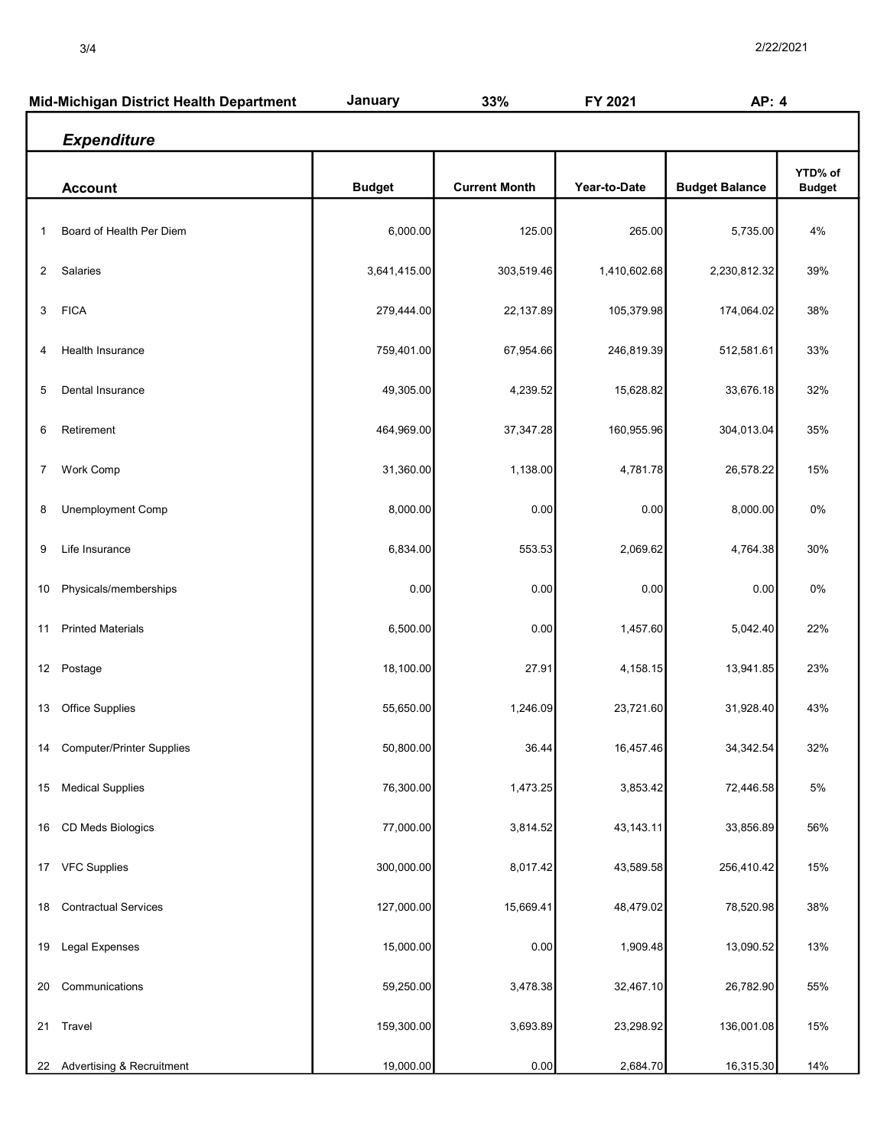| Mid-Michigan District Health Department |                                  | January       | 33%                  | FY 2021      | AP: 4                 |                          |
|-----------------------------------------|----------------------------------|---------------|----------------------|--------------|-----------------------|--------------------------|
|                                         | <b>Expenditure</b>               |               |                      |              |                       |                          |
|                                         | <b>Account</b>                   | <b>Budget</b> | <b>Current Month</b> | Year-to-Date | <b>Budget Balance</b> | YTD% of<br><b>Budget</b> |
| 1                                       | Board of Health Per Diem         | 6,000.00      | 125.00               | 265.00       | 5,735.00              | 4%                       |
| 2                                       | Salaries                         | 3,641,415.00  | 303,519.46           | 1,410,602.68 | 2,230,812.32          | 39%                      |
| 3                                       | <b>FICA</b>                      | 279,444.00    | 22,137.89            | 105,379.98   | 174,064.02            | 38%                      |
| 4                                       | Health Insurance                 | 759,401.00    | 67,954.66            | 246,819.39   | 512,581.61            | 33%                      |
| 5                                       | Dental Insurance                 | 49,305.00     | 4,239.52             | 15,628.82    | 33,676.18             | 32%                      |
| 6                                       | Retirement                       | 464,969.00    | 37, 347. 28          | 160,955.96   | 304,013.04            | 35%                      |
| 7                                       | Work Comp                        | 31,360.00     | 1,138.00             | 4,781.78     | 26,578.22             | 15%                      |
| 8                                       | Unemployment Comp                | 8,000.00      | 0.00                 | 0.00         | 8,000.00              | 0%                       |
| 9                                       | Life Insurance                   | 6,834.00      | 553.53               | 2,069.62     | 4,764.38              | 30%                      |
| 10                                      | Physicals/memberships            | 0.00          | 0.00                 | 0.00         | 0.00                  | 0%                       |
| 11                                      | <b>Printed Materials</b>         | 6,500.00      | 0.00                 | 1,457.60     | 5,042.40              | 22%                      |
|                                         | 12 Postage                       | 18,100.00     | 27.91                | 4,158.15     | 13,941.85             | 23%                      |
| 13                                      | <b>Office Supplies</b>           | 55,650.00     | 1,246.09             | 23,721.60    | 31,928.40             | 43%                      |
| 14                                      | <b>Computer/Printer Supplies</b> | 50,800.00     | 36.44                | 16,457.46    | 34,342.54             | 32%                      |
| 15                                      | <b>Medical Supplies</b>          | 76,300.00     | 1,473.25             | 3,853.42     | 72,446.58             | $5\%$                    |
| 16                                      | CD Meds Biologics                | 77,000.00     | 3,814.52             | 43,143.11    | 33,856.89             | 56%                      |
| 17                                      | <b>VFC Supplies</b>              | 300,000.00    | 8,017.42             | 43,589.58    | 256,410.42            | 15%                      |
| 18                                      | <b>Contractual Services</b>      | 127,000.00    | 15,669.41            | 48,479.02    | 78,520.98             | 38%                      |
| 19                                      | Legal Expenses                   | 15,000.00     | 0.00                 | 1,909.48     | 13,090.52             | 13%                      |
| 20                                      | Communications                   | 59,250.00     | 3,478.38             | 32,467.10    | 26,782.90             | 55%                      |
| 21                                      | Travel                           | 159,300.00    | 3,693.89             | 23,298.92    | 136,001.08            | 15%                      |
|                                         | 22 Advertising & Recruitment     | 19,000.00     | 0.00                 | 2,684.70     | 16,315.30             | 14%                      |